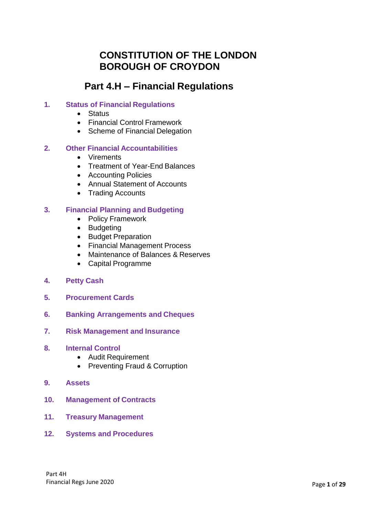# **CONSTITUTION OF THE LONDON BOROUGH OF CROYDON**

# **Part 4.H – Financial Regulations**

### **1. Status of Financial Regulations**

- Status
- Financial Control Framework
- Scheme of Financial Delegation

#### **2. Other Financial Accountabilities**

- Virements
- Treatment of Year-End Balances
- Accounting Policies
- Annual Statement of Accounts
- Trading Accounts

#### **3. Financial Planning and Budgeting**

- Policy Framework
- Budgeting
- Budget Preparation
- Financial Management Process
- Maintenance of Balances & Reserves
- Capital Programme
- **4. Petty Cash**
- **5. Procurement Cards**
- **6. Banking Arrangements and Cheques**
- **7. Risk Management and Insurance**
- **8. Internal Control**
	- Audit Requirement
	- Preventing Fraud & Corruption
- **9. Assets**
- **10. Management of Contracts**
- **11. Treasury Management**
- **12. Systems and Procedures**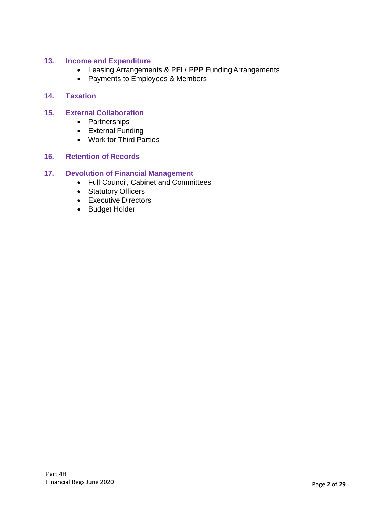### **13. Income and Expenditure**

- Leasing Arrangements & PFI / PPP Funding Arrangements
- Payments to Employees & Members

#### **14. Taxation**

### **15. External Collaboration**

- Partnerships
- External Funding
- Work for Third Parties

#### **16. Retention of Records**

#### **17. Devolution of Financial Management**

- Full Council, Cabinet and Committees
- Statutory Officers
- Executive Directors
- Budget Holder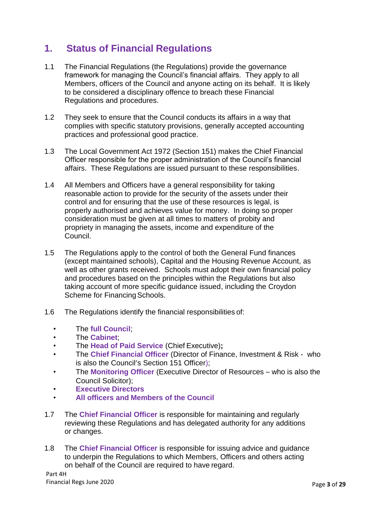# **1. Status of Financial Regulations**

- 1.1 The Financial Regulations (the Regulations) provide the governance framework for managing the Council's financial affairs. They apply to all Members, officers of the Council and anyone acting on its behalf. It is likely to be considered a disciplinary offence to breach these Financial Regulations and procedures.
- 1.2 They seek to ensure that the Council conducts its affairs in a way that complies with specific statutory provisions, generally accepted accounting practices and professional good practice.
- 1.3 The Local Government Act 1972 (Section 151) makes the Chief Financial Officer responsible for the proper administration of the Council's financial affairs. These Regulations are issued pursuant to these responsibilities.
- 1.4 All Members and Officers have a general responsibility for taking reasonable action to provide for the security of the assets under their control and for ensuring that the use of these resources is legal, is properly authorised and achieves value for money. In doing so proper consideration must be given at all times to matters of probity and propriety in managing the assets, income and expenditure of the Council.
- 1.5 The Regulations apply to the control of both the General Fund finances (except maintained schools), Capital and the Housing Revenue Account, as well as other grants received. Schools must adopt their own financial policy and procedures based on the principles within the Regulations but also taking account of more specific guidance issued, including the Croydon Scheme for Financing Schools.
- 1.6 The Regulations identify the financial responsibilities of:
	- The **full Council**;
	- The **Cabinet**;
	- The **Head of Paid Service** (Chief Executive)**;**
	- The **Chief Financial Officer** (Director of Finance, Investment & Risk who is also the Council's Section 151 Officer);
	- The **Monitoring Officer** (Executive Director of Resources who is also the Council Solicitor);
	- **Executive Directors**
	- **All officers and Members of the Council**
- 1.7 The **Chief Financial Officer** is responsible for maintaining and regularly reviewing these Regulations and has delegated authority for any additions or changes.
- 1.8 The **Chief Financial Officer** is responsible for issuing advice and guidance to underpin the Regulations to which Members, Officers and others acting on behalf of the Council are required to have regard.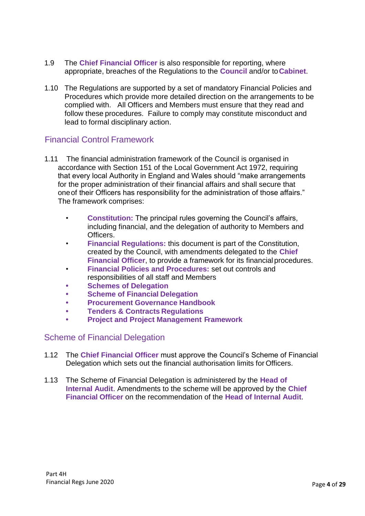- 1.9 The **Chief Financial Officer** is also responsible for reporting, where appropriate, breaches of the Regulations to the **Council** and/or to**Cabinet**.
- 1.10 The Regulations are supported by a set of mandatory Financial Policies and Procedures which provide more detailed direction on the arrangements to be complied with. All Officers and Members must ensure that they read and follow these procedures. Failure to comply may constitute misconduct and lead to formal disciplinary action.

### Financial Control Framework

- 1.11 The financial administration framework of the Council is organised in accordance with Section 151 of the Local Government Act 1972, requiring that every local Authority in England and Wales should "make arrangements for the proper administration of their financial affairs and shall secure that oneof their Officers has responsibility for the administration of those affairs." The framework comprises:
	- **Constitution:** The principal rules governing the Council's affairs, including financial, and the delegation of authority to Members and Officers.
	- **Financial Regulations:** this document is part of the Constitution, created by the Council, with amendments delegated to the **Chief Financial Officer**, to provide a framework for its financial procedures.
	- **Financial Policies and Procedures:** set out controls and responsibilities of all staff and Members
	- **• Schemes of Delegation**
	- **• Scheme of Financial Delegation**
	- **• Procurement Governance Handbook**
	- **• Tenders & Contracts Regulations**
	- **• Project and Project Management Framework**

### Scheme of Financial Delegation

- 1.12 The **Chief Financial Officer** must approve the Council's Scheme of Financial Delegation which sets out the financial authorisation limits for Officers.
- 1.13 The Scheme of Financial Delegation is administered by the **Head of Internal Audit**. Amendments to the scheme will be approved by the **Chief Financial Officer** on the recommendation of the **Head of Internal Audit**.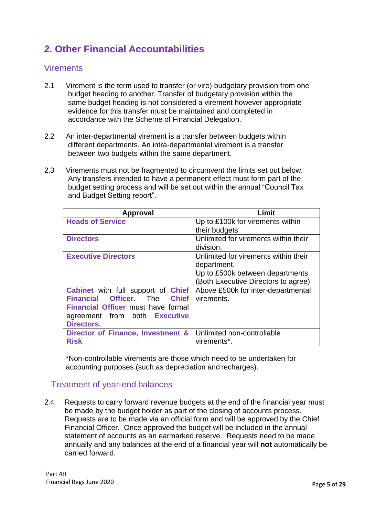# **2. Other Financial Accountabilities**

### **Virements**

- 2.1 Virement is the term used to transfer (or vire) budgetary provision from one budget heading to another. Transfer of budgetary provision within the same budget heading is not considered a virement however appropriate evidence for this transfer must be maintained and completed in accordance with the Scheme of Financial Delegation.
- 2.2 An inter-departmental virement is a transfer between budgets within different departments. An intra-departmental virement is a transfer between two budgets within the same department.
- 2.3 Virements must not be fragmented to circumvent the limits set out below. Any transfers intended to have a permanent effect must form part of the budget setting process and will be set out within the annual "Council Tax and Budget Setting report".

| Approval                                         | Limit                                |
|--------------------------------------------------|--------------------------------------|
| <b>Heads of Service</b>                          | Up to £100k for virements within     |
|                                                  | their budgets                        |
| <b>Directors</b>                                 | Unlimited for virements within their |
|                                                  | division.                            |
| <b>Executive Directors</b>                       | Unlimited for virements within their |
|                                                  | department.                          |
|                                                  | Up to £500k between departments.     |
|                                                  | (Both Executive Directors to agree). |
| <b>Cabinet</b> with full support of <b>Chief</b> | Above £500k for inter-departmental   |
| Financial Officer. The Chief                     | virements.                           |
| <b>Financial Officer must have formal</b>        |                                      |
| agreement from both Executive                    |                                      |
| <b>Directors.</b>                                |                                      |
| Director of Finance, Investment &                | Unlimited non-controllable           |
| <b>Risk</b>                                      | virements*.                          |

\*Non-controllable virements are those which need to be undertaken for accounting purposes (such as depreciation and recharges).

## Treatment of year-end balances

2.4 Requests to carry forward revenue budgets at the end of the financial year must be made by the budget holder as part of the closing of accounts process. Requests are to be made via an official form and will be approved by the Chief Financial Officer. Once approved the budget will be included in the annual statement of accounts as an earmarked reserve. Requests need to be made annually and any balances at the end of a financial year will **not** automatically be carried forward.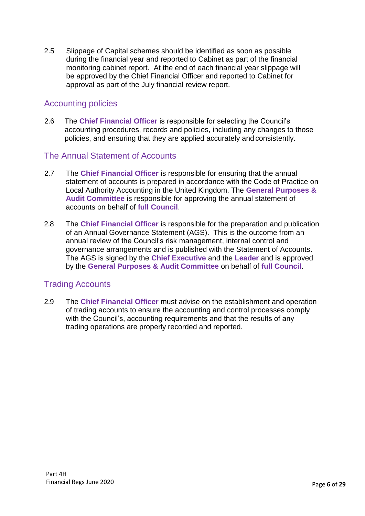2.5 Slippage of Capital schemes should be identified as soon as possible during the financial year and reported to Cabinet as part of the financial monitoring cabinet report. At the end of each financial year slippage will be approved by the Chief Financial Officer and reported to Cabinet for approval as part of the July financial review report.

## Accounting policies

2.6 The **Chief Financial Officer** is responsible for selecting the Council's accounting procedures, records and policies, including any changes to those policies, and ensuring that they are applied accurately and consistently.

### The Annual Statement of Accounts

- 2.7 The **Chief Financial Officer** is responsible for ensuring that the annual statement of accounts is prepared in accordance with the Code of Practice on Local Authority Accounting in the United Kingdom. The **General Purposes & Audit Committee** is responsible for approving the annual statement of accounts on behalf of **full Council**.
- 2.8 The **Chief Financial Officer** is responsible for the preparation and publication of an Annual Governance Statement (AGS). This is the outcome from an annual review of the Council's risk management, internal control and governance arrangements and is published with the Statement of Accounts. The AGS is signed by the **Chief Executive** and the **Leader** and is approved by the **General Purposes & Audit Committee** on behalf of **full Council**.

## Trading Accounts

2.9 The **Chief Financial Officer** must advise on the establishment and operation of trading accounts to ensure the accounting and control processes comply with the Council's, accounting requirements and that the results of any trading operations are properly recorded and reported.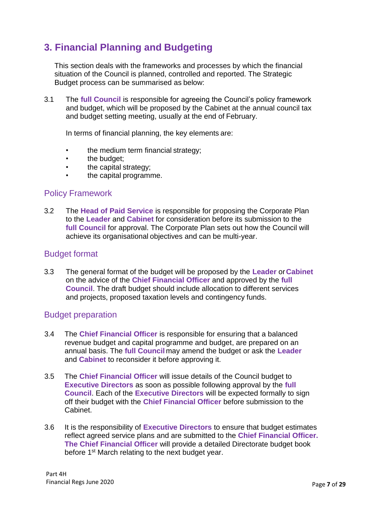# **3. Financial Planning and Budgeting**

This section deals with the frameworks and processes by which the financial situation of the Council is planned, controlled and reported. The Strategic Budget process can be summarised as below:

3.1 The **full Council** is responsible for agreeing the Council's policy framework and budget, which will be proposed by the Cabinet at the annual council tax and budget setting meeting, usually at the end of February.

In terms of financial planning, the key elements are:

- the medium term financial strategy;
- the budget:
- the capital strategy;
- the capital programme.

### Policy Framework

3.2 The **Head of Paid Service** is responsible for proposing the Corporate Plan to the **Leader** and **Cabinet** for consideration before its submission to the **full Council** for approval. The Corporate Plan sets out how the Council will achieve its organisational objectives and can be multi-year.

### Budget format

3.3 The general format of the budget will be proposed by the **Leader** or**Cabinet** on the advice of the **Chief Financial Officer** and approved by the **full Council**. The draft budget should include allocation to different services and projects, proposed taxation levels and contingency funds.

### Budget preparation

- 3.4 The **Chief Financial Officer** is responsible for ensuring that a balanced revenue budget and capital programme and budget, are prepared on an annual basis. The **full Council** may amend the budget or ask the **Leader**  and **Cabinet** to reconsider it before approving it.
- 3.5 The **Chief Financial Officer** will issue details of the Council budget to **Executive Directors** as soon as possible following approval by the **full Council**. Each of the **Executive Directors** will be expected formally to sign off their budget with the **Chief Financial Officer** before submission to the Cabinet.
- 3.6 It is the responsibility of **Executive Directors** to ensure that budget estimates reflect agreed service plans and are submitted to the **Chief Financial Officer. The Chief Financial Officer** will provide a detailed Directorate budget book before 1<sup>st</sup> March relating to the next budget year.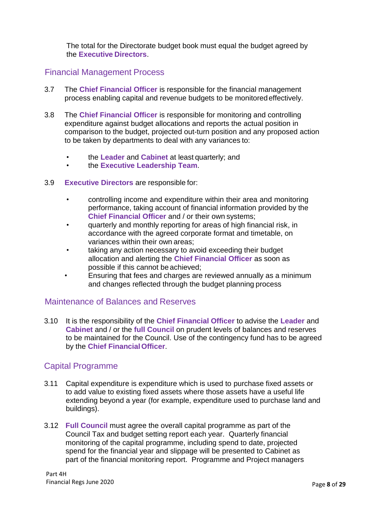The total for the Directorate budget book must equal the budget agreed by the **Executive Directors**.

### Financial Management Process

- 3.7 The **Chief Financial Officer** is responsible for the financial management process enabling capital and revenue budgets to be monitoredeffectively.
- 3.8 The **Chief Financial Officer** is responsible for monitoring and controlling expenditure against budget allocations and reports the actual position in comparison to the budget, projected out-turn position and any proposed action to be taken by departments to deal with any variances to:
	- the **Leader** and **Cabinet** at least quarterly; and
	- the **Executive Leadership Team**.
- 3.9 **Executive Directors** are responsible for:
	- controlling income and expenditure within their area and monitoring performance, taking account of financial information provided by the **Chief Financial Officer** and / or their own systems;
	- quarterly and monthly reporting for areas of high financial risk, in accordance with the agreed corporate format and timetable, on variances within their own areas;
	- taking any action necessary to avoid exceeding their budget allocation and alerting the **Chief Financial Officer** as soon as possible if this cannot be achieved;
	- Ensuring that fees and charges are reviewed annually as a minimum and changes reflected through the budget planning process

### Maintenance of Balances and Reserves

3.10 It is the responsibility of the **Chief Financial Officer** to advise the **Leader** and **Cabinet** and / or the **full Council** on prudent levels of balances and reserves to be maintained for the Council. Use of the contingency fund has to be agreed by the **Chief FinancialOfficer**.

### Capital Programme

- 3.11 Capital expenditure is expenditure which is used to purchase fixed assets or to add value to existing fixed assets where those assets have a useful life extending beyond a year (for example, expenditure used to purchase land and buildings).
- 3.12 **Full Council** must agree the overall capital programme as part of the Council Tax and budget setting report each year. Quarterly financial monitoring of the capital programme, including spend to date, projected spend for the financial year and slippage will be presented to Cabinet as part of the financial monitoring report. Programme and Project managers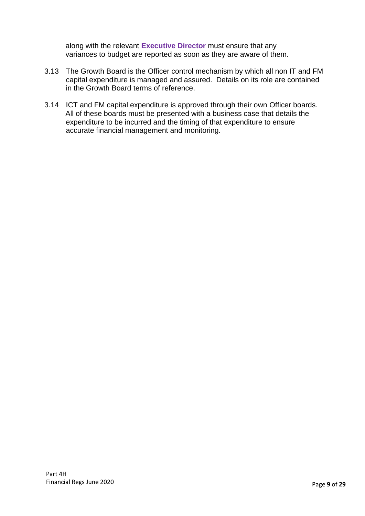along with the relevant **Executive Director** must ensure that any variances to budget are reported as soon as they are aware of them.

- 3.13 The Growth Board is the Officer control mechanism by which all non IT and FM capital expenditure is managed and assured. Details on its role are contained in the Growth Board terms of reference.
- 3.14 ICT and FM capital expenditure is approved through their own Officer boards. All of these boards must be presented with a business case that details the expenditure to be incurred and the timing of that expenditure to ensure accurate financial management and monitoring.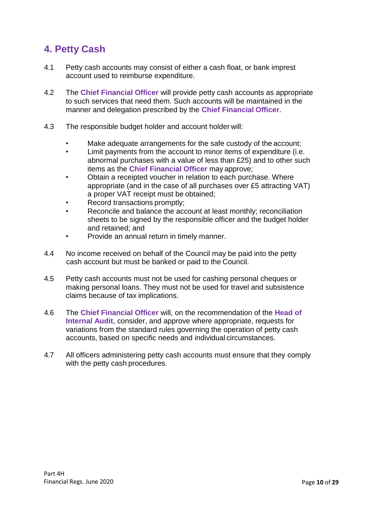# **4. Petty Cash**

- 4.1 Petty cash accounts may consist of either a cash float, or bank imprest account used to reimburse expenditure.
- 4.2 The **Chief Financial Officer** will provide petty cash accounts as appropriate to such services that need them. Such accounts will be maintained in the manner and delegation prescribed by the **Chief Financial Officer**.
- 4.3 The responsible budget holder and account holder will:
	- Make adequate arrangements for the safe custody of the account;
	- Limit payments from the account to minor items of expenditure (i.e. abnormal purchases with a value of less than £25) and to other such items as the **Chief Financial Officer** may approve;
	- Obtain a receipted voucher in relation to each purchase. Where appropriate (and in the case of all purchases over £5 attracting VAT) a proper VAT receipt must be obtained;
	- Record transactions promptly;
	- Reconcile and balance the account at least monthly; reconciliation sheets to be signed by the responsible officer and the budget holder and retained; and
	- Provide an annual return in timely manner.
- 4.4 No income received on behalf of the Council may be paid into the petty cash account but must be banked or paid to the Council.
- 4.5 Petty cash accounts must not be used for cashing personal cheques or making personal loans. They must not be used for travel and subsistence claims because of tax implications.
- 4.6 The **Chief Financial Officer** will, on the recommendation of the **Head of Internal Audit**, consider, and approve where appropriate, requests for variations from the standard rules governing the operation of petty cash accounts, based on specific needs and individual circumstances.
- 4.7 All officers administering petty cash accounts must ensure that they comply with the petty cash procedures.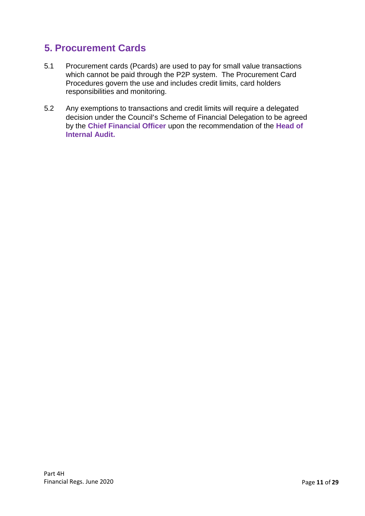# **5. Procurement Cards**

- 5.1 Procurement cards (Pcards) are used to pay for small value transactions which cannot be paid through the P2P system. The Procurement Card Procedures govern the use and includes credit limits, card holders responsibilities and monitoring.
- 5.2 Any exemptions to transactions and credit limits will require a delegated decision under the Council's Scheme of Financial Delegation to be agreed by the **Chief Financial Officer** upon the recommendation of the **Head of Internal Audit.**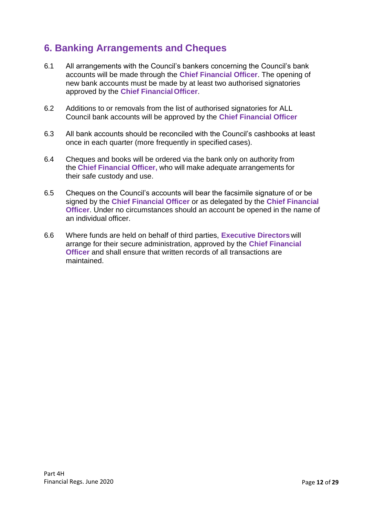# **6. Banking Arrangements and Cheques**

- 6.1 All arrangements with the Council's bankers concerning the Council's bank accounts will be made through the **Chief Financial Officer**. The opening of new bank accounts must be made by at least two authorised signatories approved by the **Chief FinancialOfficer**.
- 6.2 Additions to or removals from the list of authorised signatories for ALL Council bank accounts will be approved by the **Chief Financial Officer**
- 6.3 All bank accounts should be reconciled with the Council's cashbooks at least once in each quarter (more frequently in specified cases).
- 6.4 Cheques and books will be ordered via the bank only on authority from the **Chief Financial Officer,** who will make adequate arrangements for their safe custody and use.
- 6.5 Cheques on the Council's accounts will bear the facsimile signature of or be signed by the **Chief Financial Officer** or as delegated by the **Chief Financial Officer**. Under no circumstances should an account be opened in the name of an individual officer.
- 6.6 Where funds are held on behalf of third parties, **Executive Directors**will arrange for their secure administration, approved by the **Chief Financial Officer** and shall ensure that written records of all transactions are maintained.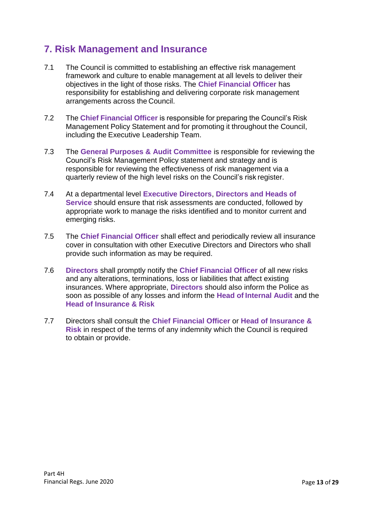# **7. Risk Management and Insurance**

- 7.1 The Council is committed to establishing an effective risk management framework and culture to enable management at all levels to deliver their objectives in the light of those risks. The **Chief Financial Officer** has responsibility for establishing and delivering corporate risk management arrangements across the Council.
- 7.2 The **Chief Financial Officer** is responsible for preparing the Council's Risk Management Policy Statement and for promoting it throughout the Council, including the Executive Leadership Team.
- 7.3 The **General Purposes & Audit Committee** is responsible for reviewing the Council's Risk Management Policy statement and strategy and is responsible for reviewing the effectiveness of risk management via a quarterly review of the high level risks on the Council's risk register.
- 7.4 At a departmental level **Executive Directors**, **Directors and Heads of Service** should ensure that risk assessments are conducted, followed by appropriate work to manage the risks identified and to monitor current and emerging risks.
- 7.5 The **Chief Financial Officer** shall effect and periodically review all insurance cover in consultation with other Executive Directors and Directors who shall provide such information as may be required.
- 7.6 **Directors** shall promptly notify the **Chief Financial Officer** of all new risks and any alterations, terminations, loss or liabilities that affect existing insurances. Where appropriate, **Directors** should also inform the Police as soon as possible of any losses and inform the **Head of Internal Audit** and the **Head of Insurance & Risk**
- 7.7 Directors shall consult the **Chief Financial Officer** or **Head of Insurance & Risk** in respect of the terms of any indemnity which the Council is required to obtain or provide.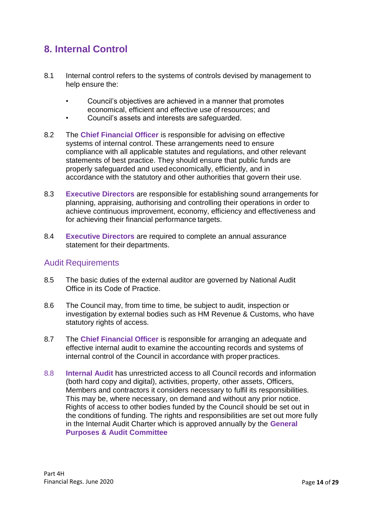# **8. Internal Control**

- 8.1 Internal control refers to the systems of controls devised by management to help ensure the:
	- Council's objectives are achieved in a manner that promotes economical, efficient and effective use of resources; and
	- Council's assets and interests are safeguarded.
- 8.2 The **Chief Financial Officer** is responsible for advising on effective systems of internal control. These arrangements need to ensure compliance with all applicable statutes and regulations, and other relevant statements of best practice. They should ensure that public funds are properly safeguarded and usedeconomically, efficiently, and in accordance with the statutory and other authorities that govern their use.
- 8.3 **Executive Directors** are responsible for establishing sound arrangements for planning, appraising, authorising and controlling their operations in order to achieve continuous improvement, economy, efficiency and effectiveness and for achieving their financial performance targets.
- 8.4 **Executive Directors** are required to complete an annual assurance statement for their departments.

### Audit Requirements

- 8.5 The basic duties of the external auditor are governed by National Audit Office in its Code of Practice.
- 8.6 The Council may, from time to time, be subject to audit, inspection or investigation by external bodies such as HM Revenue & Customs, who have statutory rights of access.
- 8.7 The **Chief Financial Officer** is responsible for arranging an adequate and effective internal audit to examine the accounting records and systems of internal control of the Council in accordance with proper practices.
- 8.8 **Internal Audit** has unrestricted access to all Council records and information (both hard copy and digital), activities, property, other assets, Officers, Members and contractors it considers necessary to fulfil its responsibilities. This may be, where necessary, on demand and without any prior notice. Rights of access to other bodies funded by the Council should be set out in the conditions of funding. The rights and responsibilities are set out more fully in the Internal Audit Charter which is approved annually by the **General Purposes & Audit Committee**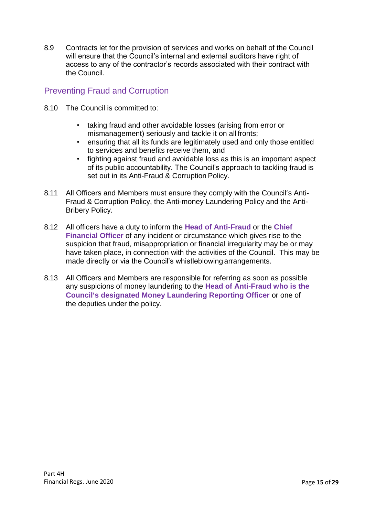8.9 Contracts let for the provision of services and works on behalf of the Council will ensure that the Council's internal and external auditors have right of access to any of the contractor's records associated with their contract with the Council.

## Preventing Fraud and Corruption

- 8.10 The Council is committed to:
	- taking fraud and other avoidable losses (arising from error or mismanagement) seriously and tackle it on all fronts;
	- ensuring that all its funds are legitimately used and only those entitled to services and benefits receive them, and
	- fighting against fraud and avoidable loss as this is an important aspect of its public accountability. The Council's approach to tackling fraud is set out in its Anti-Fraud & Corruption Policy.
- 8.11 All Officers and Members must ensure they comply with the Council's Anti-Fraud & Corruption Policy, the Anti-money Laundering Policy and the Anti-Bribery Policy.
- 8.12 All officers have a duty to inform the **Head of Anti-Fraud** or the **Chief Financial Officer** of any incident or circumstance which gives rise to the suspicion that fraud, misappropriation or financial irregularity may be or may have taken place, in connection with the activities of the Council. This may be made directly or via the Council's whistleblowing arrangements.
- 8.13 All Officers and Members are responsible for referring as soon as possible any suspicions of money laundering to the **Head of Anti-Fraud who is the Council's designated Money Laundering Reporting Officer** or one of the deputies under the policy.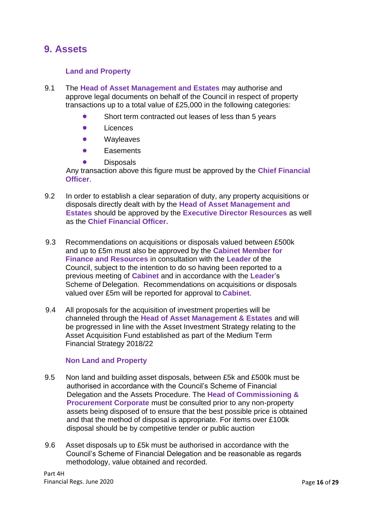## **9. Assets**

### **Land and Property**

- 9.1 The **Head of Asset Management and Estates** may authorise and approve legal documents on behalf of the Council in respect of property transactions up to a total value of £25,000 in the following categories:
	- Short term contracted out leases of less than 5 years
	- **•** Licences
	- **•** Wayleaves
	- **•** Easements
	- **Disposals**

Any transaction above this figure must be approved by the **Chief Financial Officer**.

- 9.2 In order to establish a clear separation of duty, any property acquisitions or disposals directly dealt with by the **Head of Asset Management and Estates** should be approved by the **Executive Director Resources** as well as the **Chief Financial Officer.**
- 9.3 Recommendations on acquisitions or disposals valued between £500k and up to £5m must also be approved by the **Cabinet Member for Finance and Resources** in consultation with the **Leader** of the Council, subject to the intention to do so having been reported to a previous meeting of **Cabinet** and in accordance with the **Leader**'s Scheme of Delegation. Recommendations on acquisitions or disposals valued over £5m will be reported for approval to **Cabinet**.
- 9.4 All proposals for the acquisition of investment properties will be channeled through the **Head of Asset Management & Estates** and will be progressed in line with the Asset Investment Strategy relating to the Asset Acquisition Fund established as part of the Medium Term Financial Strategy 2018/22

#### **Non Land and Property**

- 9.5 Non land and building asset disposals, between £5k and £500k must be authorised in accordance with the Council's Scheme of Financial Delegation and the Assets Procedure. The **Head of Commissioning & Procurement Corporate** must be consulted prior to any non-property assets being disposed of to ensure that the best possible price is obtained and that the method of disposal is appropriate. For items over £100k disposal should be by competitive tender or public auction
- 9.6 Asset disposals up to £5k must be authorised in accordance with the Council's Scheme of Financial Delegation and be reasonable as regards methodology, value obtained and recorded.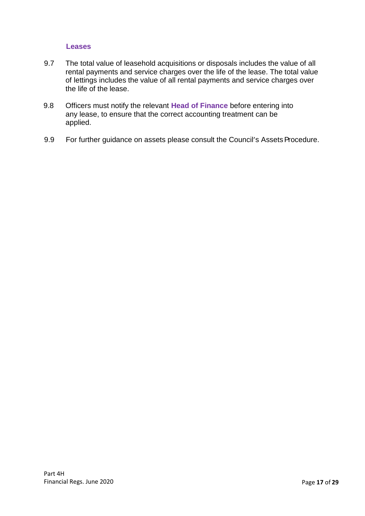#### **Leases**

- 9.7 The total value of leasehold acquisitions or disposals includes the value of all rental payments and service charges over the life of the lease. The total value of lettings includes the value of all rental payments and service charges over the life of the lease.
- 9.8 Officers must notify the relevant **Head of Finance** before entering into any lease, to ensure that the correct accounting treatment can be applied.
- 9.9 For further guidance on assets please consult the Council's Assets Procedure.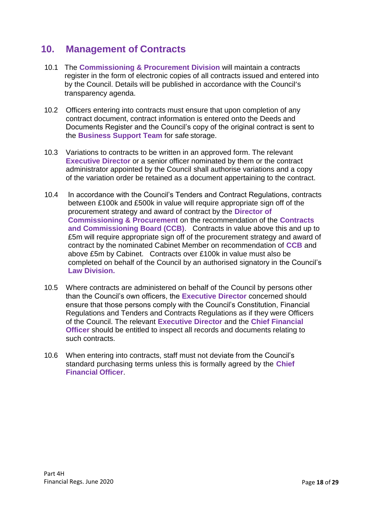# **10. Management of Contracts**

- 10.1 The **Commissioning & Procurement Division** will maintain a contracts register in the form of electronic copies of all contracts issued and entered into by the Council. Details will be published in accordance with the Council's transparency agenda.
- 10.2 Officers entering into contracts must ensure that upon completion of any contract document, contract information is entered onto the Deeds and Documents Register and the Council's copy of the original contract is sent to the **Business Support Team** for safe storage.
- 10.3 Variations to contracts to be written in an approved form. The relevant **Executive Director** or a senior officer nominated by them or the contract administrator appointed by the Council shall authorise variations and a copy of the variation order be retained as a document appertaining to the contract.
- 10.4 In accordance with the Council's Tenders and Contract Regulations, contracts between £100k and £500k in value will require appropriate sign off of the procurement strategy and award of contract by the **Director of Commissioning & Procurement** on the recommendation of the **Contracts and Commissioning Board (CCB)**. Contracts in value above this and up to £5m will require appropriate sign off of the procurement strategy and award of contract by the nominated Cabinet Member on recommendation of **CCB** and above £5m by Cabinet. Contracts over £100k in value must also be completed on behalf of the Council by an authorised signatory in the Council's **Law Division.**
- 10.5 Where contracts are administered on behalf of the Council by persons other than the Council's own officers, the **Executive Director** concerned should ensure that those persons comply with the Council's Constitution, Financial Regulations and Tenders and Contracts Regulations as if they were Officers of the Council. The relevant **Executive Director** and the **Chief Financial Officer** should be entitled to inspect all records and documents relating to such contracts.
- 10.6 When entering into contracts, staff must not deviate from the Council's standard purchasing terms unless this is formally agreed by the **Chief Financial Officer**.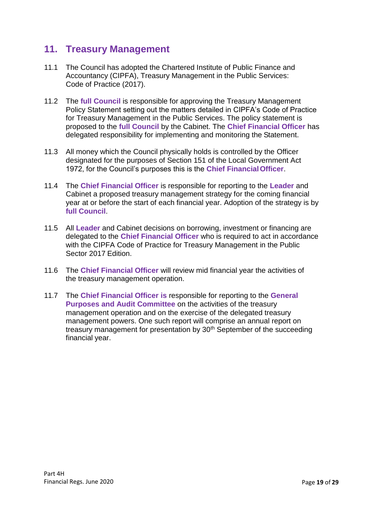## **11. Treasury Management**

- 11.1 The Council has adopted the Chartered Institute of Public Finance and Accountancy (CIPFA), Treasury Management in the Public Services: Code of Practice (2017).
- 11.2 The **full Council** is responsible for approving the Treasury Management Policy Statement setting out the matters detailed in CIPFA's Code of Practice for Treasury Management in the Public Services. The policy statement is proposed to the **full Council** by the Cabinet. The **Chief Financial Officer** has delegated responsibility for implementing and monitoring the Statement.
- 11.3 All money which the Council physically holds is controlled by the Officer designated for the purposes of Section 151 of the Local Government Act 1972, for the Council's purposes this is the **Chief FinancialOfficer**.
- 11.4 The **Chief Financial Officer** is responsible for reporting to the **Leader** and Cabinet a proposed treasury management strategy for the coming financial year at or before the start of each financial year. Adoption of the strategy is by **full Council**.
- 11.5 All **Leader** and Cabinet decisions on borrowing, investment or financing are delegated to the **Chief Financial Officer** who is required to act in accordance with the CIPFA Code of Practice for Treasury Management in the Public Sector 2017 Edition.
- 11.6 The **Chief Financial Officer** will review mid financial year the activities of the treasury management operation.
- 11.7 The **Chief Financial Officer is** responsible for reporting to the **General Purposes and Audit Committee** on the activities of the treasury management operation and on the exercise of the delegated treasury management powers. One such report will comprise an annual report on treasury management for presentation by 30<sup>th</sup> September of the succeeding financial year.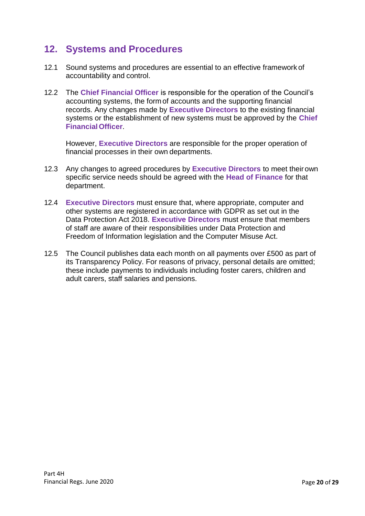# **12. Systems and Procedures**

- 12.1 Sound systems and procedures are essential to an effective framework of accountability and control.
- 12.2 The **Chief Financial Officer** is responsible for the operation of the Council's accounting systems, the form of accounts and the supporting financial records. Any changes made by **Executive Directors** to the existing financial systems or the establishment of new systems must be approved by the **Chief FinancialOfficer**.

However, **Executive Directors** are responsible for the proper operation of financial processes in their own departments.

- 12.3 Any changes to agreed procedures by **Executive Directors** to meet theirown specific service needs should be agreed with the **Head of Finance** for that department.
- 12.4 **Executive Directors** must ensure that, where appropriate, computer and other systems are registered in accordance with GDPR as set out in the Data Protection Act 2018. **Executive Directors** must ensure that members of staff are aware of their responsibilities under Data Protection and Freedom of Information legislation and the Computer Misuse Act.
- 12.5 The Council publishes data each month on all payments over £500 as part of its Transparency Policy. For reasons of privacy, personal details are omitted; these include payments to individuals including foster carers, children and adult carers, staff salaries and pensions.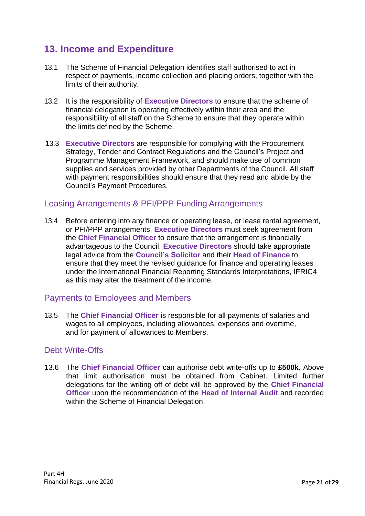# **13. Income and Expenditure**

- 13.1 The Scheme of Financial Delegation identifies staff authorised to act in respect of payments, income collection and placing orders, together with the limits of their authority.
- 13.2 It is the responsibility of **Executive Directors** to ensure that the scheme of financial delegation is operating effectively within their area and the responsibility of all staff on the Scheme to ensure that they operate within the limits defined by the Scheme.
- 13.3 **Executive Directors** are responsible for complying with the Procurement Strategy, Tender and Contract Regulations and the Council's Project and Programme Management Framework, and should make use of common supplies and services provided by other Departments of the Council. All staff with payment responsibilities should ensure that they read and abide by the Council's Payment Procedures.

### Leasing Arrangements & PFI/PPP Funding Arrangements

13.4 Before entering into any finance or operating lease, or lease rental agreement, or PFI/PPP arrangements, **Executive Directors** must seek agreement from the **Chief Financial Officer** to ensure that the arrangement is financially advantageous to the Council. **Executive Directors** should take appropriate legal advice from the **Council's Solicitor** and their **Head of Finance** to ensure that they meet the revised guidance for finance and operating leases under the International Financial Reporting Standards Interpretations, IFRIC4 as this may alter the treatment of the income.

### Payments to Employees and Members

13.5 The **Chief Financial Officer** is responsible for all payments of salaries and wages to all employees, including allowances, expenses and overtime, and for payment of allowances to Members.

### Debt Write-Offs

13.6 The **Chief Financial Officer** can authorise debt write-offs up to **£500k**. Above that limit authorisation must be obtained from Cabinet. Limited further delegations for the writing off of debt will be approved by the **Chief Financial Officer** upon the recommendation of the **Head of Internal Audit** and recorded within the Scheme of Financial Delegation.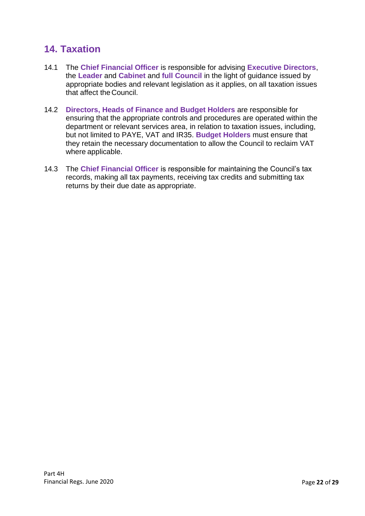# **14. Taxation**

- 14.1 The **Chief Financial Officer** is responsible for advising **Executive Directors**, the **Leader** and **Cabinet** and **full Council** in the light of guidance issued by appropriate bodies and relevant legislation as it applies, on all taxation issues that affect the Council.
- 14.2 **Directors, Heads of Finance and Budget Holders** are responsible for ensuring that the appropriate controls and procedures are operated within the department or relevant services area, in relation to taxation issues, including, but not limited to PAYE, VAT and IR35. **Budget Holders** must ensure that they retain the necessary documentation to allow the Council to reclaim VAT where applicable.
- 14.3 The **Chief Financial Officer** is responsible for maintaining the Council's tax records, making all tax payments, receiving tax credits and submitting tax returns by their due date as appropriate.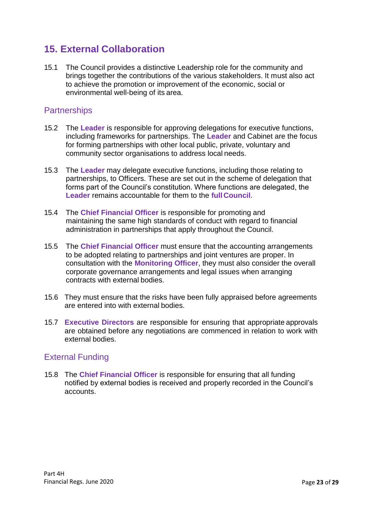# **15. External Collaboration**

15.1 The Council provides a distinctive Leadership role for the community and brings together the contributions of the various stakeholders. It must also act to achieve the promotion or improvement of the economic, social or environmental well-being of its area.

### **Partnerships**

- 15.2 The **Leader** is responsible for approving delegations for executive functions, including frameworks for partnerships. The **Leader** and Cabinet are the focus for forming partnerships with other local public, private, voluntary and community sector organisations to address local needs.
- 15.3 The **Leader** may delegate executive functions, including those relating to partnerships, to Officers. These are set out in the scheme of delegation that forms part of the Council's constitution. Where functions are delegated, the **Leader** remains accountable for them to the **full Council**.
- 15.4 The **Chief Financial Officer** is responsible for promoting and maintaining the same high standards of conduct with regard to financial administration in partnerships that apply throughout the Council.
- 15.5 The **Chief Financial Officer** must ensure that the accounting arrangements to be adopted relating to partnerships and joint ventures are proper. In consultation with the **Monitoring Officer**, they must also consider the overall corporate governance arrangements and legal issues when arranging contracts with external bodies.
- 15.6 They must ensure that the risks have been fully appraised before agreements are entered into with external bodies.
- 15.7 **Executive Directors** are responsible for ensuring that appropriate approvals are obtained before any negotiations are commenced in relation to work with external bodies.

## External Funding

15.8 The **Chief Financial Officer** is responsible for ensuring that all funding notified by external bodies is received and properly recorded in the Council's accounts.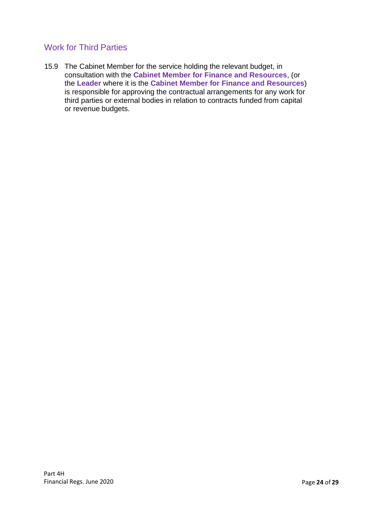## Work for Third Parties

15.9 The Cabinet Member for the service holding the relevant budget, in consultation with the **Cabinet Member for Finance and Resources**, (or the **Leader** where it is the **Cabinet Member for Finance and Resources**) is responsible for approving the contractual arrangements for any work for third parties or external bodies in relation to contracts funded from capital or revenue budgets.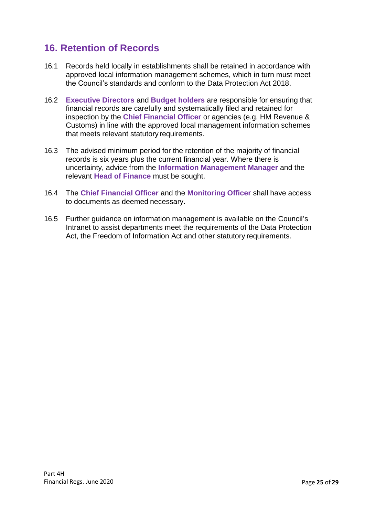# **16. Retention of Records**

- 16.1 Records held locally in establishments shall be retained in accordance with approved local information management schemes, which in turn must meet the Council's standards and conform to the Data Protection Act 2018.
- 16.2 **Executive Directors** and **Budget holders** are responsible for ensuring that financial records are carefully and systematically filed and retained for inspection by the **Chief Financial Officer** or agencies (e.g. HM Revenue & Customs) in line with the approved local management information schemes that meets relevant statutory requirements.
- 16.3 The advised minimum period for the retention of the majority of financial records is six years plus the current financial year. Where there is uncertainty, advice from the **Information Management Manager** and the relevant **Head of Finance** must be sought.
- 16.4 The **Chief Financial Officer** and the **Monitoring Officer** shall have access to documents as deemed necessary.
- 16.5 Further guidance on information management is available on the Council's Intranet to assist departments meet the requirements of the Data Protection Act, the Freedom of Information Act and other statutory requirements.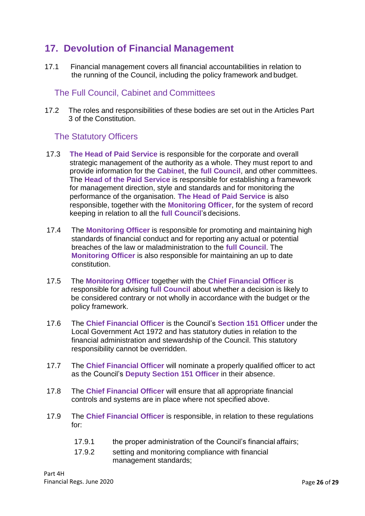# **17. Devolution of Financial Management**

17.1 Financial management covers all financial accountabilities in relation to the running of the Council, including the policy framework and budget.

### The Full Council, Cabinet and Committees

17.2 The roles and responsibilities of these bodies are set out in the Articles Part 3 of the Constitution.

### The Statutory Officers

- 17.3 **The Head of Paid Service** is responsible for the corporate and overall strategic management of the authority as a whole. They must report to and provide information for the **Cabinet**, the **full Council**, and other committees. The **Head of the Paid Service** is responsible for establishing a framework for management direction, style and standards and for monitoring the performance of the organisation. **The Head of Paid Service** is also responsible, together with the **Monitoring Officer**, for the system of record keeping in relation to all the **full Council**'s decisions.
- 17.4 The **Monitoring Officer** is responsible for promoting and maintaining high standards of financial conduct and for reporting any actual or potential breaches of the law or maladministration to the **full Council**. The **Monitoring Officer** is also responsible for maintaining an up to date constitution.
- 17.5 The **Monitoring Officer** together with the **Chief Financial Officer** is responsible for advising **full Council** about whether a decision is likely to be considered contrary or not wholly in accordance with the budget or the policy framework.
- 17.6 The **Chief Financial Officer** is the Council's **Section 151 Officer** under the Local Government Act 1972 and has statutory duties in relation to the financial administration and stewardship of the Council. This statutory responsibility cannot be overridden.
- 17.7 The **Chief Financial Officer** will nominate a properly qualified officer to act as the Council's **Deputy Section 151 Officer** in their absence.
- 17.8 The **Chief Financial Officer** will ensure that all appropriate financial controls and systems are in place where not specified above.
- 17.9 The **Chief Financial Officer** is responsible, in relation to these regulations for:
	- 17.9.1 the proper administration of the Council's financial affairs;
	- 17.9.2 setting and monitoring compliance with financial management standards;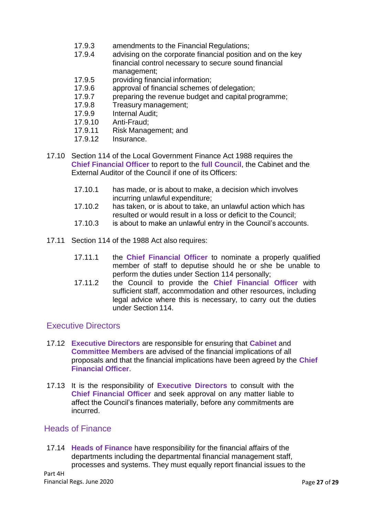- 17.9.3 amendments to the Financial Regulations;
- 17.9.4 advising on the corporate financial position and on the key financial control necessary to secure sound financial management;
- 17.9.5 providing financial information;
- 17.9.6 approval of financial schemes of delegation;
- 17.9.7 preparing the revenue budget and capital programme;
- 17.9.8 Treasury management;
- 17.9.9 Internal Audit;
- 17.9.10 Anti-Fraud;
- 17.9.11 Risk Management; and<br>17.9.12 Insurance.
- Insurance.
- 17.10 Section 114 of the Local Government Finance Act 1988 requires the **Chief Financial Officer** to report to the **full Council**, the Cabinet and the External Auditor of the Council if one of its Officers:
	- 17.10.1 has made, or is about to make, a decision which involves incurring unlawful expenditure;
	- 17.10.2 has taken, or is about to take, an unlawful action which has resulted or would result in a loss or deficit to the Council;
	- 17.10.3 is about to make an unlawful entry in the Council's accounts.
- 17.11 Section 114 of the 1988 Act also requires:
	- 17.11.1 the **Chief Financial Officer** to nominate a properly qualified member of staff to deputise should he or she be unable to perform the duties under Section 114 personally;
	- 17.11.2 the Council to provide the **Chief Financial Officer** with sufficient staff, accommodation and other resources, including legal advice where this is necessary, to carry out the duties under Section 114.

### Executive Directors

- 17.12 **Executive Directors** are responsible for ensuring that **Cabinet** and **Committee Members** are advised of the financial implications of all proposals and that the financial implications have been agreed by the **Chief Financial Officer**.
- 17.13 It is the responsibility of **Executive Directors** to consult with the **Chief Financial Officer** and seek approval on any matter liable to affect the Council's finances materially, before any commitments are incurred.

#### Heads of Finance

17.14 **Heads of Finance** have responsibility for the financial affairs of the departments including the departmental financial management staff, processes and systems. They must equally report financial issues to the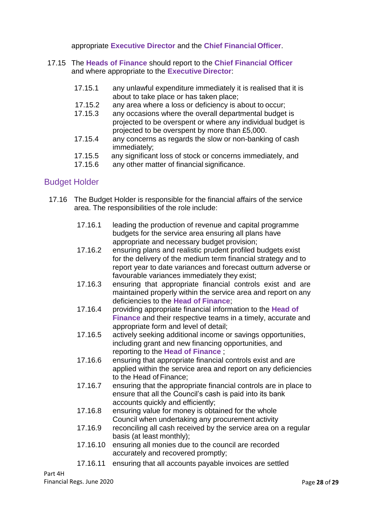appropriate **Executive Director** and the **Chief Financial Officer**.

- 17.15 The **Heads of Finance** should report to the **Chief Financial Officer**  and where appropriate to the **Executive Director**:
	- 17.15.1 any unlawful expenditure immediately it is realised that it is about to take place or has taken place;
	- 17.15.2 any area where a loss or deficiency is about to occur;
	- 17.15.3 any occasions where the overall departmental budget is projected to be overspent or where any individual budget is projected to be overspent by more than £5,000.
	- 17.15.4 any concerns as regards the slow or non-banking of cash immediately;
	- 17.15.5 any significant loss of stock or concerns immediately, and
	- 17.15.6 any other matter of financial significance.

### Budget Holder

- 17.16 The Budget Holder is responsible for the financial affairs of the service area. The responsibilities of the role include:
	- 17.16.1 leading the production of revenue and capital programme budgets for the service area ensuring all plans have appropriate and necessary budget provision;
	- 17.16.2 ensuring plans and realistic prudent profiled budgets exist for the delivery of the medium term financial strategy and to report year to date variances and forecast outturn adverse or favourable variances immediately they exist;
	- 17.16.3 ensuring that appropriate financial controls exist and are maintained properly within the service area and report on any deficiencies to the **Head of Finance**;
	- 17.16.4 providing appropriate financial information to the **Head of Finance** and their respective teams in a timely, accurate and appropriate form and level of detail;
	- 17.16.5 actively seeking additional income or savings opportunities, including grant and new financing opportunities, and reporting to the **Head of Finance** ;
	- 17.16.6 ensuring that appropriate financial controls exist and are applied within the service area and report on any deficiencies to the Head of Finance;
	- 17.16.7 ensuring that the appropriate financial controls are in place to ensure that all the Council's cash is paid into its bank accounts quickly and efficiently;
	- 17.16.8 ensuring value for money is obtained for the whole Council when undertaking any procurement activity
	- 17.16.9 reconciling all cash received by the service area on a regular basis (at least monthly);
	- 17.16.10 ensuring all monies due to the council are recorded accurately and recovered promptly;
	- 17.16.11 ensuring that all accounts payable invoices are settled